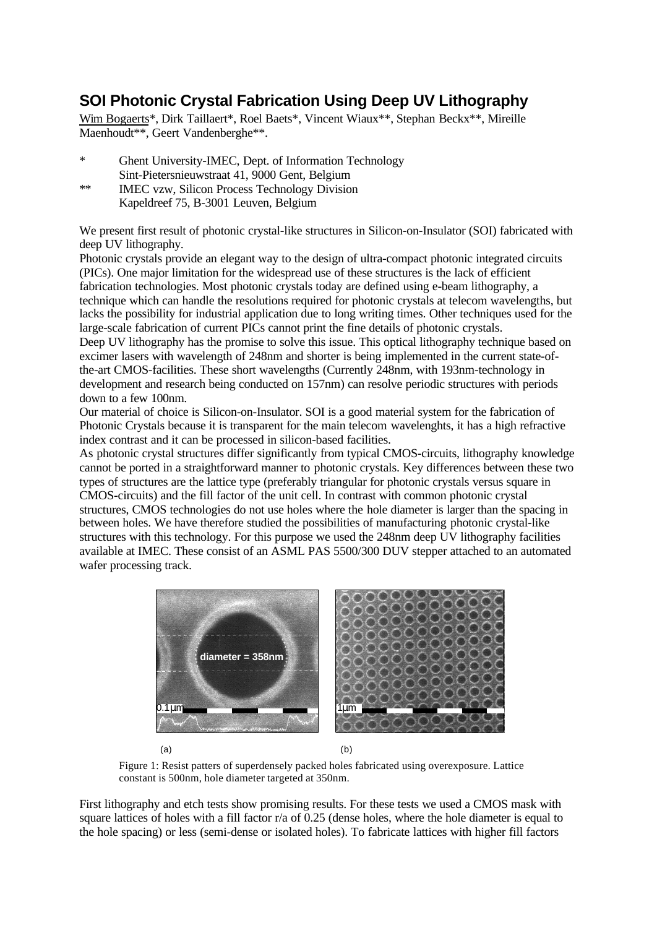## **SOI Photonic Crystal Fabrication Using Deep UV Lithography**

Wim Bogaerts\*, Dirk Taillaert\*, Roel Baets\*, Vincent Wiaux\*\*, Stephan Beckx\*\*, Mireille Maenhoudt\*\*, Geert Vandenberghe\*\*.

- \* Ghent University-IMEC, Dept. of Information Technology Sint-Pietersnieuwstraat 41, 9000 Gent, Belgium
- \*\* IMEC vzw, Silicon Process Technology Division Kapeldreef 75, B-3001 Leuven, Belgium

We present first result of photonic crystal-like structures in Silicon-on-Insulator (SOI) fabricated with deep UV lithography.

Photonic crystals provide an elegant way to the design of ultra-compact photonic integrated circuits (PICs). One major limitation for the widespread use of these structures is the lack of efficient fabrication technologies. Most photonic crystals today are defined using e-beam lithography, a technique which can handle the resolutions required for photonic crystals at telecom wavelengths, but lacks the possibility for industrial application due to long writing times. Other techniques used for the large-scale fabrication of current PICs cannot print the fine details of photonic crystals.

Deep UV lithography has the promise to solve this issue. This optical lithography technique based on excimer lasers with wavelength of 248nm and shorter is being implemented in the current state-ofthe-art CMOS-facilities. These short wavelengths (Currently 248nm, with 193nm-technology in development and research being conducted on 157nm) can resolve periodic structures with periods down to a few 100nm.

Our material of choice is Silicon-on-Insulator. SOI is a good material system for the fabrication of Photonic Crystals because it is transparent for the main telecom wavelenghts, it has a high refractive index contrast and it can be processed in silicon-based facilities.

As photonic crystal structures differ significantly from typical CMOS-circuits, lithography knowledge cannot be ported in a straightforward manner to photonic crystals. Key differences between these two types of structures are the lattice type (preferably triangular for photonic crystals versus square in CMOS-circuits) and the fill factor of the unit cell. In contrast with common photonic crystal structures, CMOS technologies do not use holes where the hole diameter is larger than the spacing in between holes. We have therefore studied the possibilities of manufacturing photonic crystal-like structures with this technology. For this purpose we used the 248nm deep UV lithography facilities available at IMEC. These consist of an ASML PAS 5500/300 DUV stepper attached to an automated wafer processing track.



 $(a)$  (b)

Figure 1: Resist patters of superdensely packed holes fabricated using overexposure. Lattice constant is 500nm, hole diameter targeted at 350nm.

First lithography and etch tests show promising results. For these tests we used a CMOS mask with square lattices of holes with a fill factor r/a of 0.25 (dense holes, where the hole diameter is equal to the hole spacing) or less (semi-dense or isolated holes). To fabricate lattices with higher fill factors